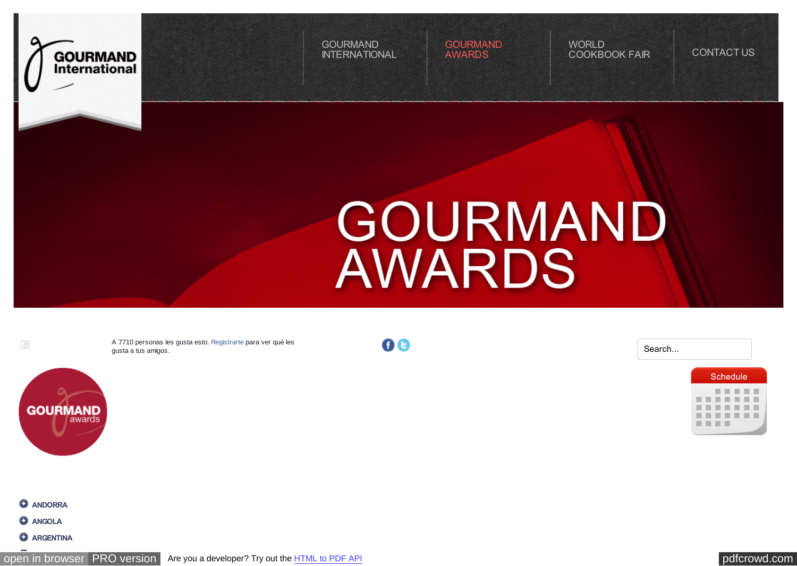<span id="page-0-0"></span>

GOURMAND [INTERNATIONAL](http://www.cookbookfair.com/) **[GOURMAND](http://www.cookbookfair.com/index.php/gourmand-awards)** AWARDS

**WORLD** [COOKBOOK FAIR](http://www.cookbookfair.com/index.php/world-cookbook-fair) [CONTACT US](http://www.cookbookfair.com/index.php/contact-us)

## GOURMAND **AWARDS**

 $\sqrt{3}$ 

A 7710 personas les gusta esto. [Registrarte](https://www.facebook.com/campaign/landing.php?campaign_id=137675572948107&partner_id=cookbookfair.com&placement=like_plugin&extra_1=http%3A%2F%2Fwww.cookbookfair.com%2Findex.php%2Fgourmand-awards&extra_2=US) [para ver qué les](http://www.facebook.com/pages/Paris-Cookbook-Fair-Festival-du-Livre-Culinaire/132625290085742) gusta a tus amigos.



**00** 

|  |     | <b>Schedule</b> |  |
|--|-----|-----------------|--|
|  |     | .               |  |
|  | . . |                 |  |
|  | .   |                 |  |
|  |     | .               |  |
|  |     |                 |  |
|  |     |                 |  |

## **ANDORRA**

- $Q$  ANGOLA
- **ARGENTINA**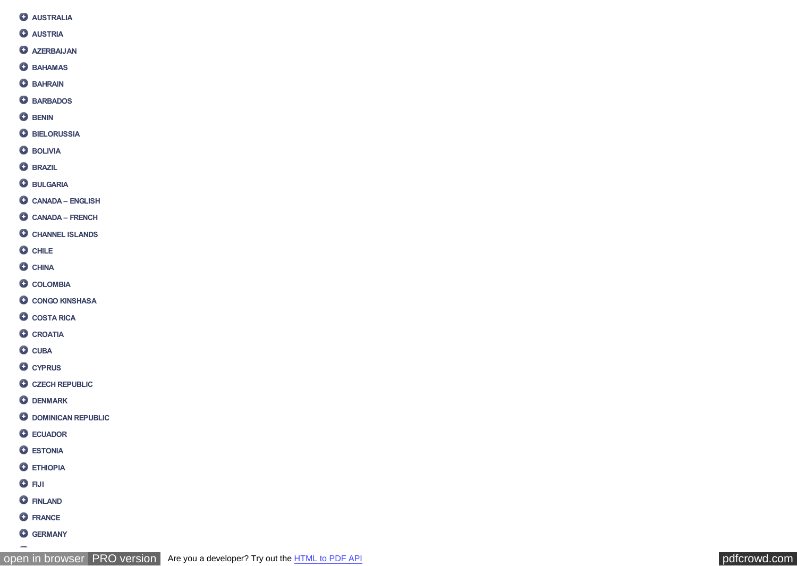- **AUSTRALIA**
- **O** AUSTRIA
- **O** AZERBAIJAN
- **O**BAHAMAS
- **O** BAHRAIN
- **O**BARBADOS
- **O** BENIN
- **O** BIELORUSSIA
- **O** BOLIVIA
- **O** BRAZIL
- **BULGARIA**
- **CANADA ENGLISH**
- **CANADA FRENCH**
- **C** CHANNEL ISLANDS
- **O** CHILE
- **C** CHINA
- **COLOMBIA**
- **CONGO KINSHASA**
- **COSTA RICA**
- **C** CROATIA
- **O** CUBA
- **C** CYPRUS
- **C** CZECH REPUBLIC
- **O** DENMARK
- **O DOMINICAN REPUBLIC**
- **ECUADOR**
- **O** ESTONIA
- **O** ETHIOPIA
- **O**FIJI

 $\overline{\phantom{0}}$ 

- **O** FINLAND
- **O**FRANCE
- **GERMANY**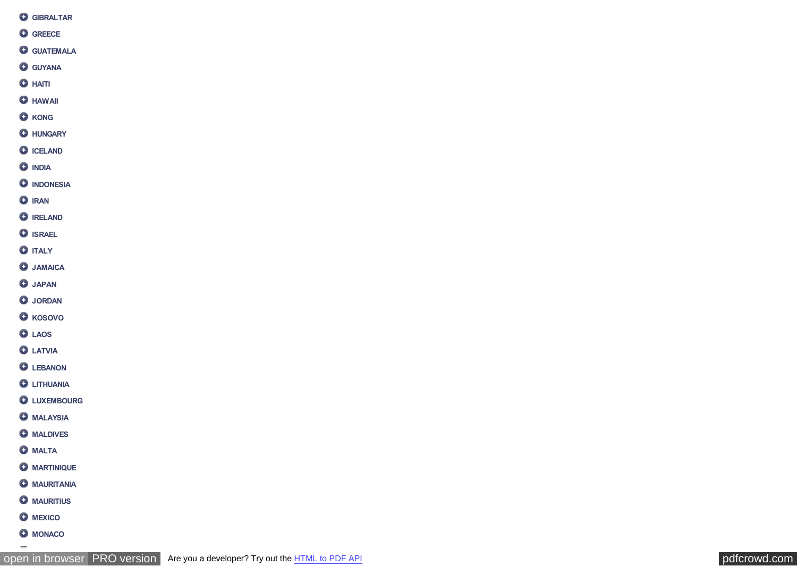- **GIBRALTAR**
- **GREECE**
- **GUATEMALA**
- **GUYANA**
- **O** HAITI
- **O** HAWAII
- **O** KONG
- **O** HUNGARY
- **O** ICELAND
- **O** INDIA
- **O** INDONESIA
- **O** IRAN
- **O** IRELAND
- **O** ISRAEL
- **O** ITALY
- **JAMAICA**
- **O** JAPAN
- **O** JORDAN
- **O** KOSOVO
- **LAOS**
- **O** LATVIA
- **O** LEBANON
- **O** LITHUANIA
- **O** LUXEMBOURG
- **O** MALAYSIA
- **O** MALDIVES
- **O** MALTA
- **O** MARTINIQUE
- **O** MAURITANIA
- **O** MAURITIUS
- **O** MEXICO
- **O** MONACO

 $\overline{\phantom{0}}$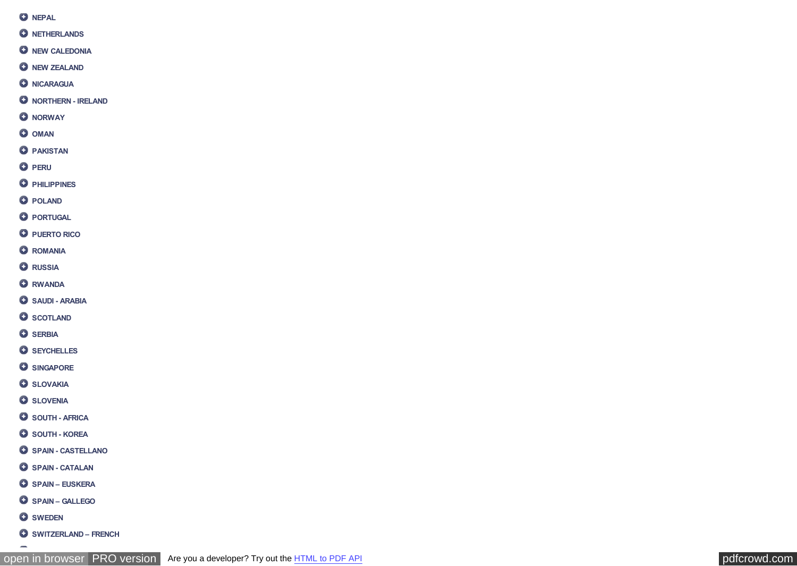- **O** NEPAL
- **O** NETHERLANDS
- **O** NEW CALEDONIA
- **O** NEW ZEALAND
- **O** NICARAGUA
- **O** NORTHERN IRELAND
- **O** NORWAY
- **O** OMAN
- **O** PAKISTAN
- **O** PERU
- **O** PHILIPPINES
- **O** POLAND
- **O** PORTUGAL
- **O** PUERTO RICO
- **O** ROMANIA
- **Q** RUSSIA
- **RWANDA**
- **O** SAUDI ARABIA
- **O** SCOTLAND
- **O** SERBIA
- **O** SEYCHELLES
- **O** SINGAPORE
- **O** SLOVAKIA
- **O** SLOVENIA
- **O** SOUTH AFRICA
- **O** SOUTH KOREA
- **O** SPAIN CASTELLANO
- **O** SPAIN CATALAN
- **SPAIN EUSKERA**
- **SPAIN GALLEGO**
- **O** SWEDEN

 $\rightarrow$ 

**SWITZERLAND – FRENCH**